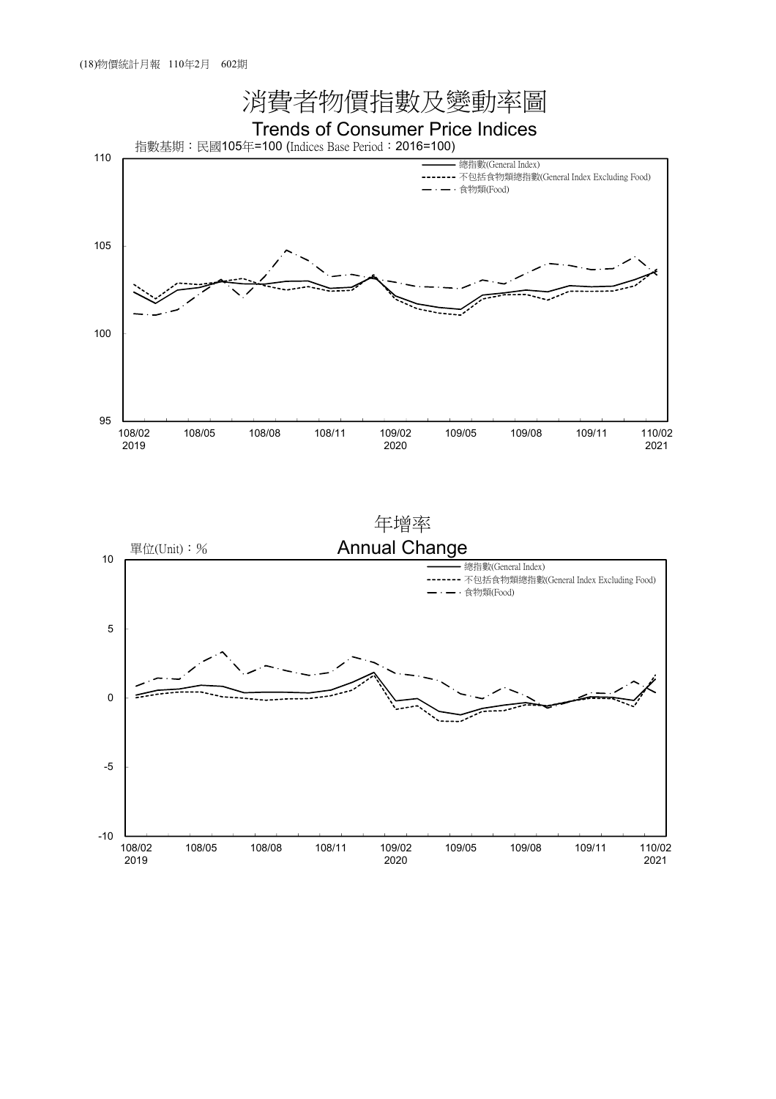

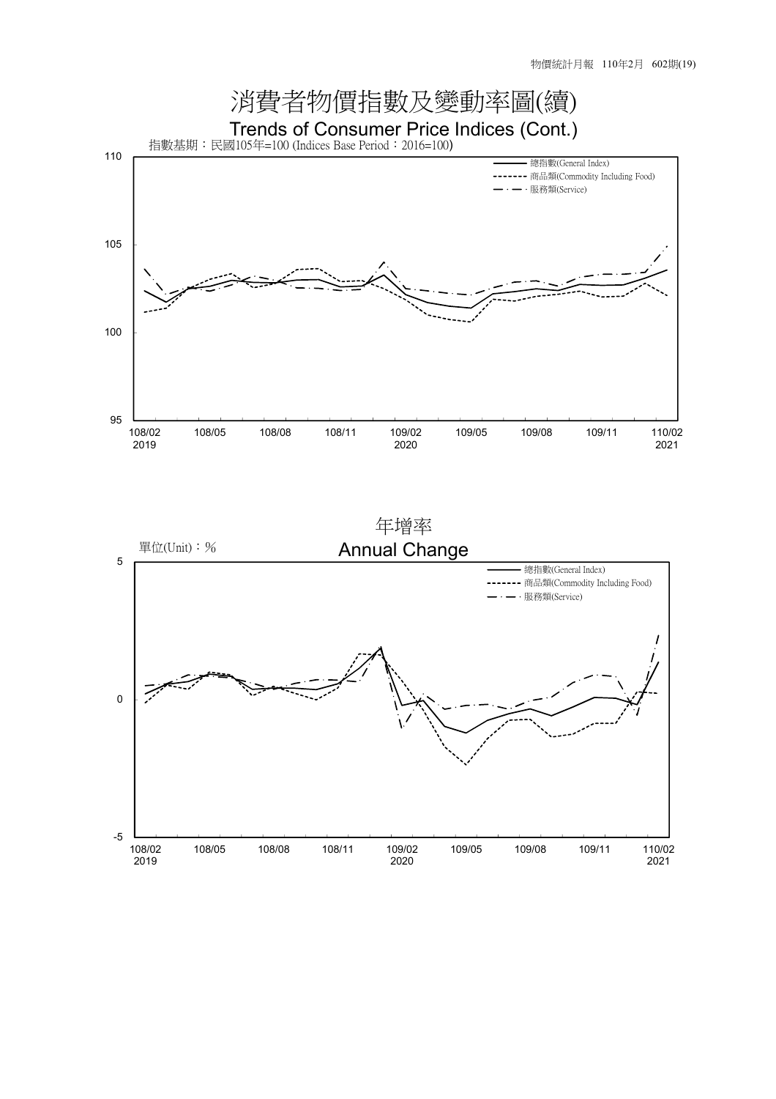

2020

109/05 109/08 109/11 110/02

2021

108/02 2019

108/05 108/08 108/11 109/02